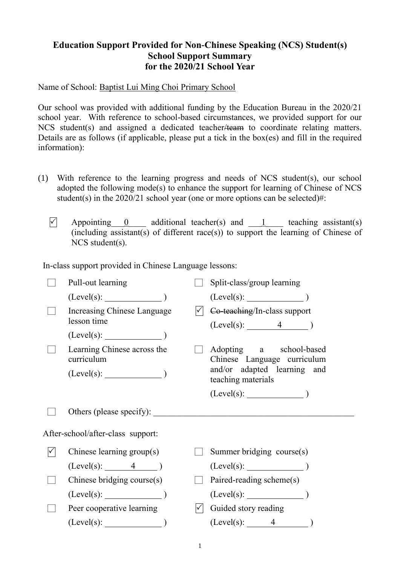## **Education Support Provided for Non-Chinese Speaking (NCS) Student(s) School Support Summary for the 2020/21 School Year**

Name of School: Baptist Lui Ming Choi Primary School

Our school was provided with additional funding by the Education Bureau in the 2020/21 school year. With reference to school-based circumstances, we provided support for our NCS student(s) and assigned a dedicated teacher/team to coordinate relating matters. Details are as follows (if applicable, please put a tick in the box(es) and fill in the required information):

- (1) With reference to the learning progress and needs of NCS student(s), our school adopted the following mode(s) to enhance the support for learning of Chinese of NCS student(s) in the  $2020/21$  school year (one or more options can be selected)#:
	- $\triangledown$  Appointing 0 additional teacher(s) and 1 teaching assistant(s)  $(including assistant(s)$  of different race(s)) to support the learning of Chinese of NCS student(s).

In-class support provided in Chinese Language lessons:

| Pull-out learning                         | Split-class/group learning                             |
|-------------------------------------------|--------------------------------------------------------|
| $(Level(s):$ )                            | $(Level(s):$ $)$                                       |
| Increasing Chinese Language               | Co-teaching/In-class support                           |
| lesson time                               | $(Level(s):$ 4 $)$                                     |
|                                           |                                                        |
| Learning Chinese across the<br>curriculum | Adopting a school-based<br>Chinese Language curriculum |
|                                           | and/or adapted learning and<br>teaching materials      |
|                                           |                                                        |
|                                           |                                                        |
| Others (please specify):                  |                                                        |
| After-school/after-class support:         |                                                        |
| Chinese learning group(s)                 | Summer bridging course(s)                              |
| $(Level(s):$ 4 $)$                        | $(Level(s):$ (Level(s):                                |
| Chinese bridging course(s)                | Paired-reading scheme(s)                               |
| (Level(s):                                | $(Level(s):$ (Level(s):                                |
| Peer cooperative learning                 | Guided story reading                                   |

1